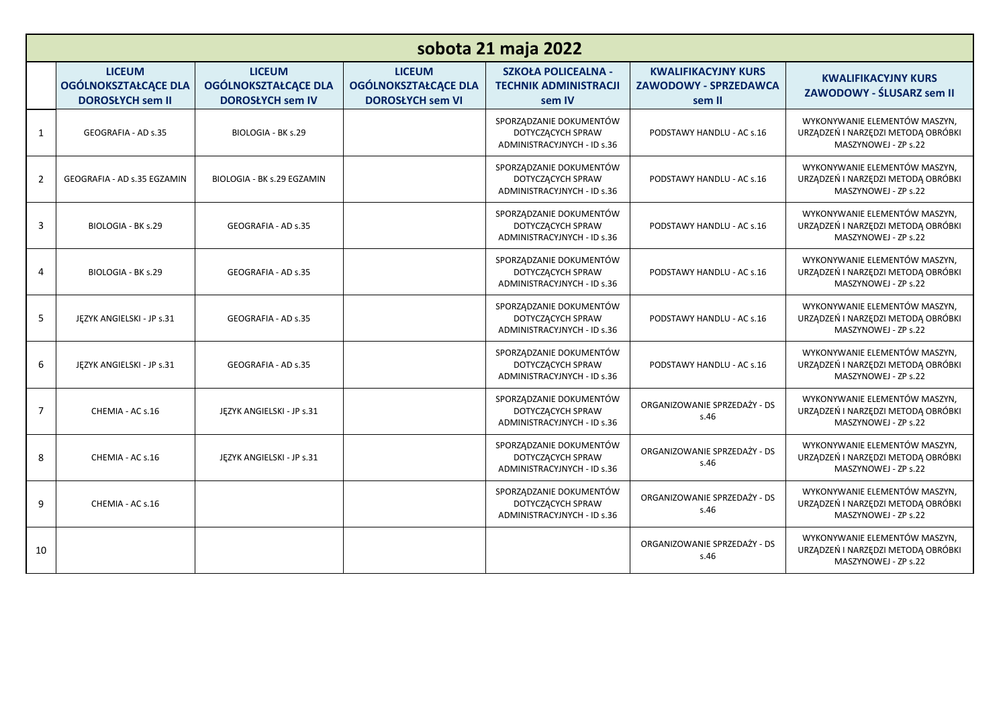| sobota 21 maja 2022 |                                                                         |                                                                         |                                                                         |                                                                             |                                                               |                                                                                             |  |  |  |
|---------------------|-------------------------------------------------------------------------|-------------------------------------------------------------------------|-------------------------------------------------------------------------|-----------------------------------------------------------------------------|---------------------------------------------------------------|---------------------------------------------------------------------------------------------|--|--|--|
|                     | <b>LICEUM</b><br><b>OGÓLNOKSZTAŁCĄCE DLA</b><br><b>DOROSŁYCH sem II</b> | <b>LICEUM</b><br><b>OGÓLNOKSZTAŁCĄCE DLA</b><br><b>DOROSŁYCH sem IV</b> | <b>LICEUM</b><br><b>OGÓLNOKSZTAŁCĄCE DLA</b><br><b>DOROSŁYCH sem VI</b> | <b>SZKOŁA POLICEALNA -</b><br><b>TECHNIK ADMINISTRACJI</b><br>sem IV        | <b>KWALIFIKACYJNY KURS</b><br>ZAWODOWY - SPRZEDAWCA<br>sem II | <b>KWALIFIKACYJNY KURS</b><br>ZAWODOWY - ŚLUSARZ sem II                                     |  |  |  |
| 1                   | GEOGRAFIA - AD s.35                                                     | BIOLOGIA - BK s.29                                                      |                                                                         | SPORZĄDZANIE DOKUMENTÓW<br>DOTYCZĄCYCH SPRAW<br>ADMINISTRACYJNYCH - ID s.36 | PODSTAWY HANDLU - AC s.16                                     | WYKONYWANIE ELEMENTÓW MASZYN,<br>URZĄDZEŃ I NARZĘDZI METODĄ OBRÓBKI<br>MASZYNOWEJ - ZP s.22 |  |  |  |
| $\overline{2}$      | GEOGRAFIA - AD s.35 EGZAMIN                                             | BIOLOGIA - BK s.29 EGZAMIN                                              |                                                                         | SPORZĄDZANIE DOKUMENTÓW<br>DOTYCZĄCYCH SPRAW<br>ADMINISTRACYJNYCH - ID s.36 | PODSTAWY HANDLU - AC s.16                                     | WYKONYWANIE ELEMENTÓW MASZYN.<br>URZĄDZEŃ I NARZĘDZI METODĄ OBRÓBKI<br>MASZYNOWEJ - ZP s.22 |  |  |  |
| 3                   | BIOLOGIA - BK s.29                                                      | GEOGRAFIA - AD s.35                                                     |                                                                         | SPORZĄDZANIE DOKUMENTÓW<br>DOTYCZĄCYCH SPRAW<br>ADMINISTRACYJNYCH - ID s.36 | PODSTAWY HANDLU - AC s.16                                     | WYKONYWANIE ELEMENTÓW MASZYN,<br>URZĄDZEŃ I NARZĘDZI METODĄ OBRÓBKI<br>MASZYNOWEJ - ZP s.22 |  |  |  |
| $\overline{4}$      | BIOLOGIA - BK s.29                                                      | GEOGRAFIA - AD s.35                                                     |                                                                         | SPORZĄDZANIE DOKUMENTÓW<br>DOTYCZĄCYCH SPRAW<br>ADMINISTRACYJNYCH - ID s.36 | PODSTAWY HANDLU - AC s.16                                     | WYKONYWANIE ELEMENTÓW MASZYN,<br>URZĄDZEŃ I NARZĘDZI METODĄ OBRÓBKI<br>MASZYNOWEJ - ZP s.22 |  |  |  |
| 5                   | JEZYK ANGIELSKI - JP s.31                                               | GEOGRAFIA - AD s.35                                                     |                                                                         | SPORZĄDZANIE DOKUMENTÓW<br>DOTYCZĄCYCH SPRAW<br>ADMINISTRACYJNYCH - ID s.36 | PODSTAWY HANDLU - AC s.16                                     | WYKONYWANIE ELEMENTÓW MASZYN.<br>URZĄDZEŃ I NARZĘDZI METODĄ OBRÓBKI<br>MASZYNOWEJ - ZP s.22 |  |  |  |
| 6                   | JĘZYK ANGIELSKI - JP s.31                                               | GEOGRAFIA - AD s.35                                                     |                                                                         | SPORZĄDZANIE DOKUMENTÓW<br>DOTYCZĄCYCH SPRAW<br>ADMINISTRACYJNYCH - ID s.36 | PODSTAWY HANDLU - AC s.16                                     | WYKONYWANIE ELEMENTÓW MASZYN,<br>URZĄDZEŃ I NARZĘDZI METODĄ OBRÓBKI<br>MASZYNOWEJ - ZP s.22 |  |  |  |
| $\overline{7}$      | CHEMIA - AC s.16                                                        | JEZYK ANGIELSKI - JP s.31                                               |                                                                         | SPORZĄDZANIE DOKUMENTÓW<br>DOTYCZĄCYCH SPRAW<br>ADMINISTRACYJNYCH - ID s.36 | ORGANIZOWANIE SPRZEDAŻY - DS<br>s.46                          | WYKONYWANIE ELEMENTÓW MASZYN,<br>URZĄDZEŃ I NARZĘDZI METODĄ OBRÓBKI<br>MASZYNOWEJ - ZP s.22 |  |  |  |
| 8                   | CHEMIA - AC s.16                                                        | JEZYK ANGIELSKI - JP s.31                                               |                                                                         | SPORZĄDZANIE DOKUMENTÓW<br>DOTYCZĄCYCH SPRAW<br>ADMINISTRACYJNYCH - ID s.36 | ORGANIZOWANIE SPRZEDAŻY - DS<br>s.46                          | WYKONYWANIE ELEMENTÓW MASZYN,<br>URZĄDZEŃ I NARZĘDZI METODĄ OBRÓBKI<br>MASZYNOWEJ - ZP s.22 |  |  |  |
| 9                   | CHEMIA - AC s.16                                                        |                                                                         |                                                                         | SPORZĄDZANIE DOKUMENTÓW<br>DOTYCZĄCYCH SPRAW<br>ADMINISTRACYJNYCH - ID s.36 | ORGANIZOWANIE SPRZEDAŻY - DS<br>s.46                          | WYKONYWANIE ELEMENTÓW MASZYN,<br>URZĄDZEŃ I NARZĘDZI METODĄ OBRÓBKI<br>MASZYNOWEJ - ZP s.22 |  |  |  |
| 10                  |                                                                         |                                                                         |                                                                         |                                                                             | ORGANIZOWANIE SPRZEDAŻY - DS<br>s.46                          | WYKONYWANIE ELEMENTÓW MASZYN,<br>URZĄDZEŃ I NARZĘDZI METODĄ OBRÓBKI<br>MASZYNOWEJ - ZP s.22 |  |  |  |